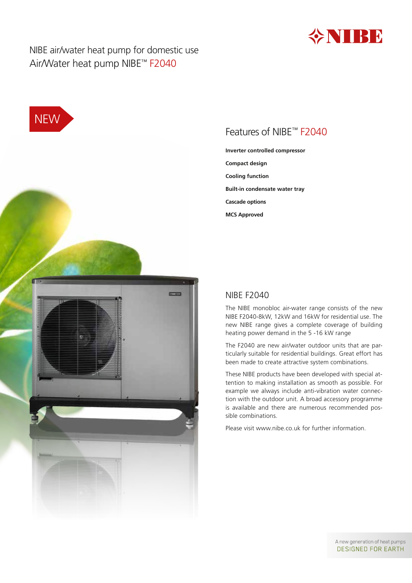

NIBE air/water heat pump for domestic use Air/Water heat pump NIBE™ F2040





## Features of NIBE™ F2040

**Inverter controlled compressor Compact design Cooling function Built-in condensate water tray Cascade options MCS Approved**

### NIBE F2040

The NIBE monobloc air-water range consists of the new NIBE F2040-8kW, 12kW and 16kW for residential use. The new NIBE range gives a complete coverage of building heating power demand in the 5 -16 kW range

The F2040 are new air/water outdoor units that are particularly suitable for residential buildings. Great effort has been made to create attractive system combinations.

These NIBE products have been developed with special attention to making installation as smooth as possible. For example we always include anti-vibration water connection with the outdoor unit. A broad accessory programme is available and there are numerous recommended possible combinations.

Please visit www.nibe.co.uk for further information.